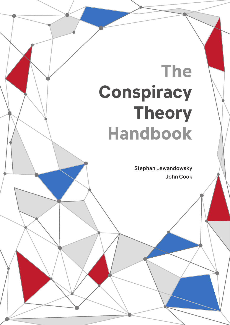# **The Conspiracy Theory Handbook**

Stephan Lewandowsky John Cook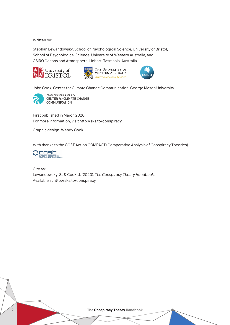Written by:

Stephan Lewandowsky, School of Psychological Science, University of Bristol, School of Psychological Science, University of Western Australia, and CSIRO Oceans and Atmosphere, Hobart, Tasmania, Australia







John Cook, Center for Climate Change Communication, George Mason University



GEORGE MASON UNIVERSITY **CENTER for CLIMATE CHANGE COMMUNICATION** 

First published in March 2020. For more information, visit http://sks.to/conspiracy

Graphic design: Wendy Cook

With thanks to the COST Action COMPACT (Comparative Analysis of Conspiracy Theories).



Cite as: Lewandowsky, S., & Cook, J. (2020). *The Conspiracy Theory Handbook.*

Available at http://sks.to/conspiracy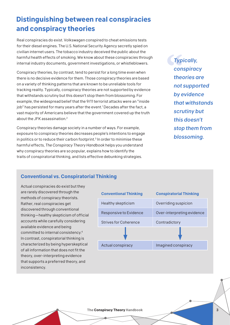# **Distinguishing between real conspiracies and conspiracy theories**

Real conspiracies do exist. Volkswagen conspired to cheat emissions tests for their diesel engines. The U.S. National Security Agency secretly spied on civilian internet users. The tobacco industry deceived the public about the harmful health effects of smoking. We know about these conspiracies through internal industry documents, government investigations, or whistleblowers.

Conspiracy theories, by contrast, tend to persist for a long time even when there is no decisive evidence for them. Those conspiracy theories are based on a variety of thinking patterns that are known to be unreliable tools for tracking reality. Typically, conspiracy theories are not supported by evidence that withstands scrutiny but this doesn't stop them from blossoming. For example, the widespread belief that the 9/11 terrorist attacks were an "inside job" has persisted for many years after the event.<sup>1</sup> Decades after the fact, a vast majority of Americans believe that the government covered up the truth about the JFK assassination.2

Conspiracy theories damage society in a number of ways. For example, exposure to conspiracy theories decreases people's intentions to engage in politics or to reduce their carbon footprint.<sup>3</sup> In order to minimise these harmful effects, *The Conspiracy Theory Handbook* helps you understand why conspiracy theories are so popular, explains how to identify the traits of conspiratorial thinking, and lists effective debunking strategies.

*Typically, conspiracy theories are not supported by evidence that withstands scrutiny but this doesn't stop them from blossoming.*

## **Conventional vs. Conspiratorial Thinking**

Actual conspiracies do exist but they are rarely discovered through the methods of conspiracy theorists. Rather, real conspiracies get discovered through conventional thinking—healthy skepticism of official accounts while carefully considering available evidence and being committed to internal consistency.4 In contrast, conspiratorial thinking is characterized by being hyperskeptical of all information that does not fit the theory, over-interpreting evidence that supports a preferred theory, and inconsistency.

| <b>Conventional Thinking</b> | <b>Conspiratorial Thinking</b> |
|------------------------------|--------------------------------|
| Healthy skepticism           | Overriding suspicion           |
| Responsive to Evidence       | Over-interpreting evidence     |
| <b>Strives for Coherence</b> | Contradictory                  |
|                              |                                |
| Actual conspiracy            | Imagined conspiracy            |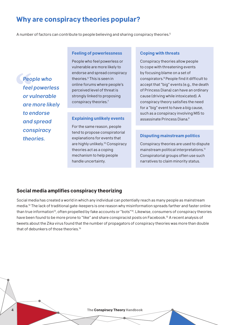## **Why are conspiracy theories popular?**

A number of factors can contribute to people believing and sharing conspiracy theories.5

*People who feel powerless or vulnerable are more likely to endorse and spread conspiracy theories.*

#### **Feeling of powerlessness**

People who feel powerless or vulnerable are more likely to endorse and spread conspiracy theories.<sup>6</sup> This is seen in online forums where people's perceived level of threat is strongly linked to proposing conspiracy theories.7

For the same reason, people tend to propose conspiratorial explanations for events that are highly unlikely.10 Conspiracy theories act as a coping mechanism to help people handle uncertainty.

#### **Coping with threats**

Conspiracy theories allow people to cope with threatening events by focusing blame on a set of conspirators.8 People find it difficult to accept that "big" events (e.g., the death of Princess Diana) can have an ordinary cause (driving while intoxicated). A conspiracy theory satisfies the need for a "big" event to have a big cause, such as a conspiracy involving MI5 to **Explaining unlikely events** assassinate Princess Diana.<sup>9</sup>

#### **Disputing mainstream politics**

Conspiracy theories are used to dispute mainstream political interpretations.<sup>11</sup> Conspiratorial groups often use such narratives to claim minority status.

#### **Social media amplifies conspiracy theorizing**

Social media has created a world in which any individual can potentially reach as many people as mainstream media.12 The lack of traditional gate-keepers is one reason why misinformation spreads farther and faster online than true information<sup>13</sup>, often propelled by fake accounts or "bots"<sup>14</sup>. Likewise, consumers of conspiracy theories have been found to be more prone to "like" and share conspiracist posts on Facebook.15 A recent analysis of tweets about the Zika virus found that the number of propagators of conspiracy theories was more than double that of debunkers of those theories.<sup>16</sup>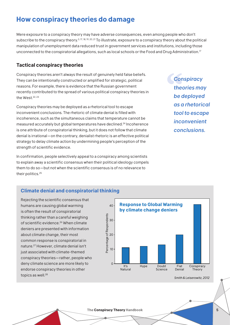#### **The Conspiracy Theory Handbook** 5

# **How conspiracy theories do damage**

Mere exposure to a conspiracy theory may have adverse consequences, even among people who don't subscribe to the conspiracy theory.3, 17, 18, 19, 20, 21 To illustrate, exposure to a conspiracy theory about the political manipulation of unemployment data reduced trust in government services and institutions, including those unconnected to the conspiratorial allegations, such as local schools or the Food and Drug Administration.17

## **Tactical conspiracy theories**

Conspiracy theories aren't always the result of genuinely held false beliefs. They can be intentionally constructed or amplified for strategic, political reasons. For example, there is evidence that the Russian government recently contributed to the spread of various political conspiracy theories in the West.<sup>22, 23</sup>

Conspiracy theories may be deployed as a rhetorical tool to escape inconvenient conclusions. The rhetoric of climate denial is filled with incoherence, such as the simultaneous claims that temperature cannot be measured accurately but global temperatures have declined.24 Incoherence is one attribute of conspiratorial thinking, but it does not follow that climate denial is irrational—on the contrary, denialist rhetoric is an effective political strategy to delay climate action by undermining people's perception of the strength of scientific evidence.

In confirmation, people selectively appeal to a conspiracy among scientists to explain away a scientific consensus when their political ideology compels them to do so—but not when the scientific consensus is of no relevance to their politics.<sup>25</sup>

## **Climate denial and conspiratorial thinking**

Rejecting the scientific consensus that humans are causing global warming is often the result of conspiratorial thinking rather than a careful weighing of scientific evidence.<sup>26</sup> When climate deniers are presented with information about climate change, their most common response is conspiratorial in nature.27 However, climate denial isn't just associated with climate-themed conspiracy theories—rather, people who deny climate science are more likely to endorse conspiracy theories in other topics as well.<sup>28</sup>



*Smith & Leiserowitz, 2012*

*Conspiracy theories may be deployed as a rhetorical tool to escape inconvenient conclusions.*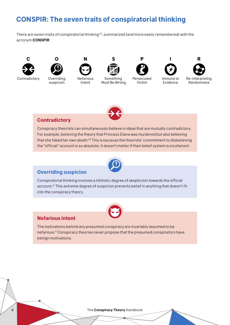# **CONSPIR: The seven traits of conspiratorial thinking**

There are seven traits of conspiratorial thinking<sup>29</sup>, summarized (and more easily remembered) with the acronym **CONSPIR**:



Contradictory Overriding



suspicion



Intent

Something Must Be Wrong



Victim



Immune to Evidence



Re-interpreting Randomness



#### **Contradictory**

Conspiracy theorists can simultaneously believe in ideas that are mutually contradictory. For example, believing the theory that Princess Diana was murdered but also believing that she faked her own death.30 This is because the theorists' commitment to disbelieving the "official" account is so absolute, it doesn't matter if their belief system is incoherent.



#### **Overriding suspicion**

Conspiratorial thinking involves a nihilistic degree of skepticism towards the official account.31 This extreme degree of suspicion prevents belief in anything that doesn't fit into the conspiracy theory.



#### **Nefarious intent**

The motivations behind any presumed conspiracy are invariably assumed to be nefarious.31 Conspiracy theories never propose that the presumed conspirators have benign motivations.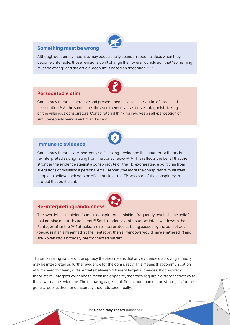#### **Something must be wrong**

Although conspiracy theorists may occasionally abandon specific ideas when they become untenable, those revisions don't change their overall conclusion that "something must be wrong" and the official account is based on deception.<sup>24, 30</sup>



#### **Persecuted victim**

Conspiracy theorists perceive and present themselves as the victim of organized persecution.29 At the same time, they see themselves as brave antagonists taking on the villainous conspirators. Conspiratorial thinking involves a self-perception of simultaneously being a victim and a hero.



#### **Immune to evidence**

Conspiracy theories are inherently self-sealing—evidence that counters a theory is re-interpreted as originating from the conspiracy.<sup>31, 32, 33</sup> This reflects the belief that the stronger the evidence against a conspiracy (e.g., the FBI exonerating a politician from allegations of misusing a personal email server), the more the conspirators must want people to believe their version of events (e.g., the FBI was part of the conspiracy to protect that politician).



#### **Re-interpreting randomness**

The overriding suspicion found in conspiratorial thinking frequently results in the belief that nothing occurs by accident.34 Small random events, such as intact windows in the Pentagon after the 9/11 attacks, are re-interpreted as being caused by the conspiracy (because if an airliner had hit the Pentagon, then all windows would have shattered<sup>35</sup>) and are woven into a broader, interconnected pattern.

The self-sealing nature of conspiracy theories means that any evidence disproving a theory may be interpreted as further evidence for the conspiracy. This means that communication efforts need to clearly differentiate between different target audiences. If conspiracy theorists re-interpret evidence to mean the opposite, then they require a different strategy to those who value evidence. The following pages look first at communication strategies for the general public, then for conspiracy theorists specifically.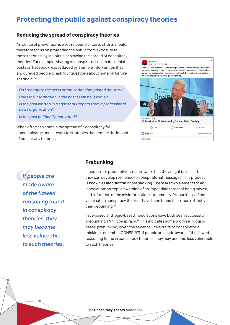# **Protecting the public against conspiracy theories**

#### **Reducing the spread of conspiracy theories**

An ounce of prevention is worth a pound of cure. Efforts should therefore focus on protecting the public from exposure to those theories, by inhibiting or slowing the spread of conspiracy theories. For example, sharing of conspiratorial climate-denial posts on Facebook was reduced by a simple intervention that encouraged people to ask four questions about material before sharing it: <sup>36</sup>

*Do I recognize the news organization that posted the story? Does the information in the post seem believable? Is the post written in a style that I expect from a professional news organization?*

*Is the post politically motivated?*

When efforts to contain the spread of a conspiracy fail, communicators must resort to strategies that reduce the impact of conspiracy theories.



*If people are made aware of the flawed reasoning found in conspiracy theories, they may become less vulnerable to such theories.*

#### **Prebunking**

If people are preemptively made aware that they might be misled, they can develop resilience to conspiratorial messages. This process is known as *inoculation* or *prebunking*. There are two elements to an inoculation: an explicit warning of an impending threat of being misled, and refutation of the misinformation's arguments. Prebunkings of antivaccination conspiracy theories have been found to be more effective than debunking. 37

Fact-based and logic-based inoculations have both been successful in prebunking a 9/11 conspiracy.38 This indicates some promise in logicbased prebunking, given the seven tell-tale traits of conspiratorial thinking (remember CONSPIR?). If people are made aware of the flawed reasoning found in conspiracy theories, they may become less vulnerable to such theories.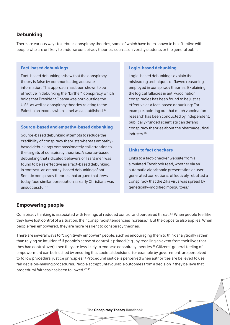#### **Debunking**

There are various ways to debunk conspiracy theories, some of which have been shown to be effective with people who are unlikely to endorse conspiracy theories, such as university students or the general public.

#### **Fact-based debunkings**

Fact-based debunkings show that the conspiracy theory is false by communicating accurate information. This approach has been shown to be effective in debunking the "birther" conspiracy which holds that President Obama was born outside the U.S.<sup>21</sup> as well as conspiracy theories relating to the Palestinian exodus when Israel was established.39

#### **Source-based and empathy-based debunking**

Source-based debunking attempts to reduce the credibility of conspiracy theorists whereas empathybased debunkings compassionately call attention to the targets of conspiracy theories. A source-based debunking that ridiculed believers of lizard men was found to be as effective as a fact-based debunking. In contrast, an empathy-based debunking of anti-Semitic conspiracy theories that argued that Jews today face similar persecution as early Christians was unsuccessful.41

#### **Logic-based debunking**

Logic-based debunkings explain the misleading techniques or flawed reasoning employed in conspiracy theories. Explaining the logical fallacies in anti-vaccination conspiracies has been found to be just as effective as a fact-based debunking: For example, pointing out that much vaccination research has been conducted by independent, publically-funded scientists can defang conspiracy theories about the pharmaceutical industry.40

#### **Links to fact checkers**

Links to a fact-checker website from a simulated Facebook feed, whether via an automatic algorithmic presentation or usergenerated corrections, effectively rebutted a conspiracy that the Zika virus was spread by genetically-modified mosquitoes.42

#### **Empowering people**

Conspiracy thinking is associated with feelings of reduced control and perceived threat.<sup>6,7</sup> When people feel like they have lost control of a situation, their conspiracist tendencies increase.43 But the opposite also applies. When people feel empowered, they are more resilient to conspiracy theories.

There are several ways to "cognitively empower" people, such as encouraging them to think analytically rather than relying on intuition.44 If people's sense of control is primed (e.g., by recalling an event from their lives that they had control over), then they are less likely to endorse conspiracy theories.<sup>45</sup> Citizens' general feeling of empowerment can be instilled by ensuring that societal decisions, for example by government, are perceived to follow procedural justice principles.<sup>46</sup> Procedural justice is perceived when authorities are believed to use fair decision-making procedures. People accept unfavourable outcomes from a decision if they believe that procedural fairness has been followed.47, 48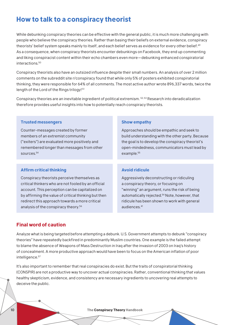# **How to talk to a conspiracy theorist**

While debunking conspiracy theories can be effective with the general public, it is much more challenging with people who believe the conspiracy theories. Rather than basing their beliefs on external evidence, conspiracy theorists' belief system speaks mainly to itself, and each belief serves as evidence for every other belief.49 As a consequence, when conspiracy theorists encounter debunkings on Facebook, they end up commenting and liking conspiracist content within their echo chambers even more—debunking enhanced conspiratorial interactions.50

Conspiracy theorists also have an outsized influence despite their small numbers. An analysis of over 2 million comments on the subreddit site r/conspiracy found that while only 5% of posters exhibited conspiratorial thinking, they were responsible for 64% of all comments. The most active author wrote 896,337 words, twice the length of the Lord of the Rings trilogy!<sup>51</sup>

Conspiracy theories are an inevitable ingredient of political extremism. 52, 53 Research into deradicalization therefore provides useful insights into how to potentially reach conspiracy theorists.

#### **Trusted messengers**

Counter-messages created by former members of an extremist community ("exiters") are evaluated more positively and remembered longer than messages from other sources.54

#### **Affirm critical thinking**

Conspiracy theorists perceive themselves as critical thinkers who are not fooled by an official account. This perception can be capitalized on by affirming the value of critical thinking but then redirect this approach towards a more critical analysis of the conspiracy theory.56

#### **Show empathy**

Approaches should be empathic and seek to build understanding with the other party. Because the goal is to develop the conspiracy theorist's open-mindedness, communicators must lead by example.<sup>55</sup>

#### **Avoid ridicule**

Aggressively deconstructing or ridiculing a conspiracy theory, or focusing on "winning" an argument, runs the risk of being automatically rejected.54 Note, however, that ridicule has been shown to work with general audiences<sup>41</sup>

#### **Final word of caution**

Analyze what is being targeted before attempting a debunk. U.S. Government attempts to debunk "conspiracy theories" have repeatedly backfired in predominantly Muslim countries. One example is the failed attempt to blame the absence of Weapons of Mass Destruction in Iraq after the invasion of 2003 on Iraq's history of concealment. A more productive approach would have been to focus on the American inflation of poor intelligence.<sup>57</sup>

It's also important to remember that real conspiracies do exist. But the traits of conspiratorial thinking (CONSPIR) are not a productive way to uncover actual conspiracies. Rather, conventional thinking that values healthy skepticism, evidence, and consistency are necessary ingredients to uncovering real attempts to deceive the public.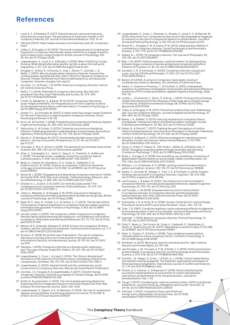# **References**

- 1 Laine, E. E., & Parakkal, R. (2017). National security, personal insecurity,<br>and political conspiracies: The persistence of Americans' beliefs in 9/11<br>. conspiracy theories. IUP Journal of International Relations, 11(3),
- 2 CBS poll (2009). https://www.cbsnews.com/news/cbs-poll-jfk-conspiracylives/
- Jolley, D., & Douglas, K. M. (2013). The social consequences of conspiracism:<br>Exposure to conspiracy theories decreases intentions to engage in politics<br>and to reduce one's carbon footprint. British Journal of Psychology, 35–56. doi:10.1111/bjop.12018
- 4 Lewandowsky, S., Lloyd, E. A., & Brophy, S. (2018). When THUNCing Trumps thinking: What distant alternative worlds can tell us about the real world. Argumenta, 3, 217–231. doi:10.23811/52.arg2017.lew.llo.bro
- 5 Douglas, K., Sutton, R., Cichocka, A., Ang, J., Deravi, F., Uscinski, J., & Nefes, T. (2019). Why do people adopt conspiracy theories, how are they communicated, and what are their risks? Centre for Research; Evidence on Security Threats. Retrieved from https://crestresearch.ac.uk/resources/ conspiracy-theories-douglas-full-report/
- 6 Uscinski, J. E., & Parent, J. M. (2014). American conspiracy theories. Oxford, UK: Oxford University Press.
- 7 Nefes, T. S. (2014). Rationale of conspiracy theorizing: Who shot the president Chen Shui-bian? Rationality and Society, 26, 373–394. doi:10.1177/1043463113519069
- 8 Franks, B., Bangerter, A., & Bauer, M. W. (2013). Conspiracy theories as quasi-religious mentality: An integrated account from cognitive science,<br>social representations theory, and frame theory. Frontiers in Psychology, 4.<br>doi:10.3389/fpsyg.2013.00424
- 9 Leman, P. J., & Cinnirella, M. (2007). A major event has a major cause: Evidence for the role of heuristics in reasoning about conspiracy theories. Social Psychological Review, 9, 18–28.
- 10 Kovic, M., & Füchslin, T. (2018). Probability and conspiratorial thinking. Applied Cognitive Psychology, 32, 390–400. doi:10.1002/acp.3408
- Sapountzis, A., & Condor, S. (2013). Conspiracy accounts as intergroup theories: Challenging dominant understandings of social power and political legitimacy. Political Psychology, 34, 731–752. doi:10.1111/pops.12015
- 12 Allcott, H., & Gentzkow, M. (2017). Social media and fake news in the 2016 election. Journal of Economic Perspectives, 31, 211–36. doi:10.1257/ jep.31.2.211
- 13 Vosoughi, S., Roy, D., & Aral, S. (2018). The spread of true and false news online. Science, 359, 1146–1151. doi:10.1126/science.aap9559
- 14 Shao, C., Ciampaglia, G. L., Varol, O., Yang, K.-C., Flammini, A., & Menczer,<br>F. (2018). The spread of low-credibility content by social bots. Nature<br>Communications, 9, 4787. doi:10.1038/s41467-018-06930-7
- 15 Bessi, A., Coletto, M., Devidescu, G. A., Scala, A., Caldarelli, G., & Quattrociocchi, W. (2015). Science vs conspiracy: Collective narratives in the age of misinformation. PLOS ONE, 10, e0118093. doi:10.1371/journal. pone.0118093
- 16 Wood, M. J. (2018). Propagating and debunking conspiracy theories on Twitter during the 2015–2016 Zika virus outbreak. Cyberpsychology, Behavior, and Social Networking, 21, 485–490. doi:10.1089/cyber.2017.0669
- Einstein, K. L., & Glick, D. M. (2015). Do I think BLS data are BS? The consequences of conspiracy theories. Political Behavior, 37, 679–701. doi:10.1007/s11109-014-9287-z
- 18 Jolley, D., Meleady, R., & Douglas, K. M. (2019). Exposure to intergroup conspiracy theories promotes prejudice which spreads across groups. British Journal of Psychology. doi:10.1111/bjop.12385
- 19 Raab, M. H., Auer, N., Ortlieb, S. A., & Carbon, C.-C. (2013). The Sarrazin effect: The presence of absurd statements in conspiracy theories makes canonical information less plausible. Frontiers in Psychology, 4, 453. doi:10.3389/ fpsyg.2013.00453
- 20 van der Linden, S. (2015). The conspiracy-effect: Exposure to conspiracy theories (about global warming) decreases pro-social behavior and science acceptance. Personality and Individual Differences, 87, 171–173. doi:10.1016/j. paid.2015.07.045
- 21 Warner, B. R., & Neville-Shepard, R. (2014). Echoes of a conspiracy: Birthers, truthers, and the cultivation of extremism. Communication Quarterly, 62, 1–17. doi:10.1080/01463373.2013.822407
- 22 Avramov, K. (2018). By another way of deception: The use of conspiracy theories as a foreign policy tool in the arsenal of the hybrid warfare. Information & Security: An International Journal, 39, 151–161. doi:10.11610/ isij.3913
- 23 Yablokov, I. (2015). Conspiracy theories as a Russian public diplomacy tool: The case of Russia Today (RT). Politics, 35, 301–315. doi:10.1111/1467- 9256.12097
- 24 Lewandowsky, S., Cook, J., & Lloyd, E. (2016). The "Alice in Wonderland" mechanics of the rejection of (climate) science: Simulating coherence by conspiracism. Synthese, 195, 175–196. doi:10.1007/s11229-016-1198-6
- 25 Lewandowsky, S. (2020). Hannah Arendt and the contemporary social construction of conspiracy theorists. Manuscript Submitted for Publication.
- 26 Uscinski, J. E., Douglas, K. & Lewandowsky, S. (2017). Climate Change Conspiracy Theories. Oxford Encyclopedia of Climate Change. doi:10.1093/ acrefore/9780190228620.013.328
- 27 Smith, N., & Leiserowitz, A. (2012). The rise of global warming skepticism: Exploring affective image associations in the United States over time. Risk Analysis: An International Journal, 32(6), 1021-1032.
- 28 Lewandowsky, S., Gignac, G. E., & Oberauer, K. (2013). The role of conspiracist ideation and worldviews in predicting rejection of science. PLOS ONE, 8, e75637. doi:10.1371/journal.pone.0075637
- 29 Lewandowsky, S., Cook, J., Oberauer, K., Brophy, S., Lloyd, E. A., & Marriott, M. (2015). Recurrent fury: Conspiratorial discourse in the blogosphere triggered by research on the role of conspiracist ideation in climate denial. Journal of Social and Political Psychology, 3, 142-178. doi:10.1093/eurpub/ckn139
- 30 Wood, M. J., Douglas, K. M., & Sutton, R. M. (2012). Dead and alive: Beliefs in contradictory conspiracy theories. Social Psychological and Personality Science, 3, 767–773. doi:10.1177/1948550611434786
- Keeley, B. L. (1999). Of conspiracy theories. The Journal of Philosophy, 96, 109–126. doi:10.2307/2564659
- 32 Bale, J. M. (2007). Political paranoia v. political realism: On distinguishing between bogus conspiracy theories and genuine conspiratorial politics. Patterns of Prejudice, 41, 45–60. doi:10.1080/00313220601118751
- 33 Sunstein, C. R., & Vermeule, A. (2009). Conspiracy theories: Causes and cures. Journal of Political Philosophy, 17, 202–227. doi:10.1111/j.1467- 9760.2008.00325.x
- 34 Barkun, M. (2003). A culture of conspiracy: Apocalyptic visions in contemporary America. Berkeley, CA: University of California Press.
- 35 Swami, V., Chamorro-Premuzic, T., & Furnham, A. (2010). Unanswered<br>questions: A preliminary investigation of personality and individual difference<br>predictors of 9/11 conspiracist beliefs. Applied Cognitive Psychology, 2
- 36 Lutzke, L., Drummond, C., Slovic, P., & Árvai, J. (2019). Priming critical thinking: Simple interventions limit the influence of fake news about climate change on Facebook. Global Environmental Change, 58, 101964. doi:10.1016/j. gloenvcha.2019.101964
- 37 Jolley, D., & Douglas, K. M. (2017). Prevention is better than cure: Addressing anti-vaccine conspiracy theories. Journal of Applied Social Psychology, 47, 459–469. doi:10.1111/jasp.12453
- 38 Banas, J. A., & Miller, G. (2013). Inducing resistance to conspiracy theory propaganda: Testing inoculation and metainoculation strategies. Human Communication Research, 39, 184–207. doi:10.1111/hcre.12000
- 39 Nyhan, B., & Zeitzoff, T. (2017). Fighting the past: Perceptions of control, historical misperceptions, and corrective information in the Israeli-Palestinian conflict. Political Psychology, 39, 611-630. doi:10.1111/pops.12449
- 40 Schmid, P., & Betsch, C. (2019). Effective strategies for rebutting science denialism in public discussions. Nature Human Behavior 3, 931-939. doi:10.1038/s41562-019-0632-4
- 41 Orosz, G., Krekó, P., Paskuj, B., Tóth-Király, I., Böthe, B., & Roland-Lèvy, C. (2016). Changing conspiracy beliefs through rationality and ridiculing. Frontiers in Psychology, 7, 1525. doi:10.3389/fpsyg.2016.01525
- 42 Bode, L., & Vraga, E. K. (2018). See something, say something: Correction of global health misinformation on social media. Health Communication, 33, 1131–1140. doi:10.1080/10410236.2017.1331312
- 43 Whitson, J. A., & Galinsky, A. D. (2008). Lacking control increases illusory pattern perception. Science, 322, 115–117. doi:10.1126/science.1159845
- 44 Swami, V., Voracek, M., Stieger, S., Tran, U. S., & Furnham, A. (2014). Analytic thinking reduces belief in conspiracy theories. Cognition, 133, 572–585. doi:10.1016/j.cognition.2014.08.006
- 45 van Prooijen, J., & Acker, M. (2015). The influence of control on belief in conspiracy theories: Conceptual and applied extensions. Applied Cognitive Psychology, 29, 753–761. doi:10.1002/acp.3161
- 46 van Prooijen, J.-W. (2018). Empowerment as a tool to reduce belief<br>in conspiracy theories. In Conspiracy theories and the people who<br>believe them (pp. 432-442). Oxford University Press. doi:10.1093/<br>oso/9780190844073.00
- 47 Quintanilla, V. D., & Yontz, M. A. (2018). Human-Centered Civil Justice Design: Procedural Justice and Process Value Pluralism. Tulsa L. Rev., 54, 113.
- 48 Tyler, T. R. (1987). Conditions leading to value-expressive effects in judgments of procedural justice: A test of four models. Journal of Personality and Social Psychology, 52, 333–344. doi:10.1037/0022-3514.52.2.333
- 49 Goertzel, T. (1994). Belief in conspiracy theories. Political Psychology, 15, 731–742. doi:10.2307/3791630
- 50 Zollo, F., Bessi, A., Del Vicario, M., Scala, A., Caldarelli, G., Shekhtman, K.,<br>Havlin, S., Quattrociocchi, W.. (2017). Debunking in a world of tribes. PLOS ONE,<br>12, e0181821. doi:10.1371/journal.pone.0181821
- 51 Klein, C., Clutton, P., & Polito, V. (2018). Topic modeling reveals distinct interests within an online conspiracy forum. Frontiers in Psychology, 9. doi:10.3389/fpsyg.2018.00189
- 52 Kundnani, A. (2012). Blind spot-security narratives and far-right violence. Security and Human Rights, 23, 129–146.
- 53 van Prooijen, J.-W., Krouwel, A. P. M., & Pollet, T. V. (2015). Political extremism predicts belief in conspiracy theories. Social Psychological and Personality Science, 6, 570-578. doi:10.1177/1948550614567356
- 54 Schmitt, J. B., Rieger, D., Ernst, J., & Roth, H.-J. (2018). Critical media literacy<br>and islamist online propaganda: The feasibility, applicability and impact of<br>three learning arrangements. International Journal of Con
- 55 Ponsot, A. S., Autixier, C., & Madriaza, P. (2018). Factors facilitating the successful implementation of a prevention of violent radicalization intervention as identified by front-line practitioners. Journal for Deradicalization, (16), 1–33.
- 56 Voogt, S. (2017). Countering far-right recruitment online: CAPE's practitioner experience. Journal of Policing, Intelligence and Counter Terrorism, 12, 34–46. doi:10.1080/18335330.2016.1215510
- 57 Aistrope, T. (2016). Conspiracy theory and American foreign policy. Manchester University Press. doi:10.7228/ manchester/9780719099199.001.0001